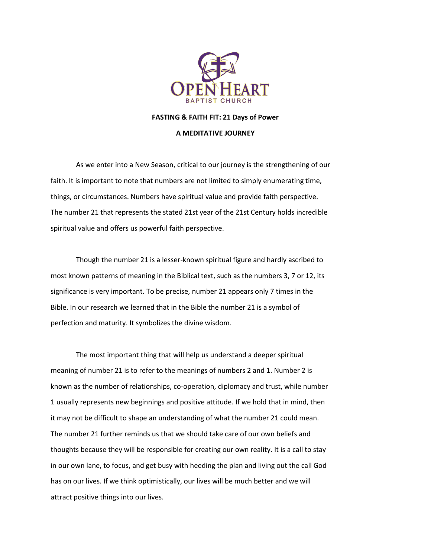

#### **FASTING & FAITH FIT: 21 Days of Power**

#### **A MEDITATIVE JOURNEY**

As we enter into a New Season, critical to our journey is the strengthening of our faith. It is important to note that numbers are not limited to simply enumerating time, things, or circumstances. Numbers have spiritual value and provide faith perspective. The number 21 that represents the stated 21st year of the 21st Century holds incredible spiritual value and offers us powerful faith perspective.

Though the number 21 is a lesser-known spiritual figure and hardly ascribed to most known patterns of meaning in the Biblical text, such as the numbers 3, 7 or 12, its significance is very important. To be precise, number 21 appears only 7 times in the Bible. In our research we learned that in the Bible the number 21 is a symbol of perfection and maturity. It symbolizes the divine wisdom.

The most important thing that will help us understand a deeper spiritual meaning of number 21 is to refer to the meanings of numbers 2 and 1. Number 2 is known as the number of relationships, co-operation, diplomacy and trust, while number 1 usually represents new beginnings and positive attitude. If we hold that in mind, then it may not be difficult to shape an understanding of what the number 21 could mean. The number 21 further reminds us that we should take care of our own beliefs and thoughts because they will be responsible for creating our own reality. It is a call to stay in our own lane, to focus, and get busy with heeding the plan and living out the call God has on our lives. If we think optimistically, our lives will be much better and we will attract positive things into our lives.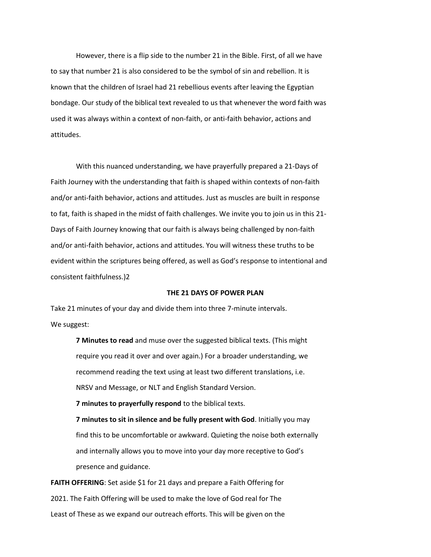However, there is a flip side to the number 21 in the Bible. First, of all we have to say that number 21 is also considered to be the symbol of sin and rebellion. It is known that the children of Israel had 21 rebellious events after leaving the Egyptian bondage. Our study of the biblical text revealed to us that whenever the word faith was used it was always within a context of non-faith, or anti-faith behavior, actions and attitudes.

With this nuanced understanding, we have prayerfully prepared a 21-Days of Faith Journey with the understanding that faith is shaped within contexts of non-faith and/or anti-faith behavior, actions and attitudes. Just as muscles are built in response to fat, faith is shaped in the midst of faith challenges. We invite you to join us in this 21- Days of Faith Journey knowing that our faith is always being challenged by non-faith and/or anti-faith behavior, actions and attitudes. You will witness these truths to be evident within the scriptures being offered, as well as God's response to intentional and consistent faithfulness.)2

#### **THE 21 DAYS OF POWER PLAN**

Take 21 minutes of your day and divide them into three 7-minute intervals. We suggest:

> **7 Minutes to read** and muse over the suggested biblical texts. (This might require you read it over and over again.) For a broader understanding, we recommend reading the text using at least two different translations, i.e. NRSV and Message, or NLT and English Standard Version.

**7 minutes to prayerfully respond** to the biblical texts.

**7 minutes to sit in silence and be fully present with God**. Initially you may find this to be uncomfortable or awkward. Quieting the noise both externally and internally allows you to move into your day more receptive to God's presence and guidance.

FAITH OFFERING: Set aside \$1 for 21 days and prepare a Faith Offering for 2021. The Faith Offering will be used to make the love of God real for The Least of These as we expand our outreach efforts. This will be given on the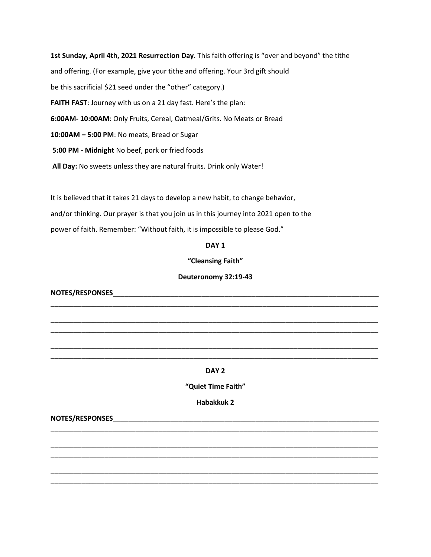**1st Sunday, April 4th, 2021 Resurrection Day**. This faith offering is "over and beyond" the tithe and offering. (For example, give your tithe and offering. Your 3rd gift should be this sacrificial \$21 seed under the "other" category.) **FAITH FAST**: Journey with us on a 21 day fast. Here's the plan: **6:00AM- 10:00AM**: Only Fruits, Cereal, Oatmeal/Grits. No Meats or Bread **10:00AM – 5:00 PM**: No meats, Bread or Sugar **5:00 PM - Midnight** No beef, pork or fried foods **All Day:** No sweets unless they are natural fruits. Drink only Water!

It is believed that it takes 21 days to develop a new habit, to change behavior,

and/or thinking. Our prayer is that you join us in this journey into 2021 open to the

power of faith. Remember: "Without faith, it is impossible to please God."

#### **DAY 1**

**"Cleansing Faith"**

### **Deuteronomy 32:19-43**

\_\_\_\_\_\_\_\_\_\_\_\_\_\_\_\_\_\_\_\_\_\_\_\_\_\_\_\_\_\_\_\_\_\_\_\_\_\_\_\_\_\_\_\_\_\_\_\_\_\_\_\_\_\_\_\_\_\_\_\_\_\_\_\_\_\_\_\_\_\_\_\_\_\_\_\_\_\_\_\_\_\_\_\_\_

\_\_\_\_\_\_\_\_\_\_\_\_\_\_\_\_\_\_\_\_\_\_\_\_\_\_\_\_\_\_\_\_\_\_\_\_\_\_\_\_\_\_\_\_\_\_\_\_\_\_\_\_\_\_\_\_\_\_\_\_\_\_\_\_\_\_\_\_\_\_\_\_\_\_\_\_\_\_\_\_\_\_\_\_\_ \_\_\_\_\_\_\_\_\_\_\_\_\_\_\_\_\_\_\_\_\_\_\_\_\_\_\_\_\_\_\_\_\_\_\_\_\_\_\_\_\_\_\_\_\_\_\_\_\_\_\_\_\_\_\_\_\_\_\_\_\_\_\_\_\_\_\_\_\_\_\_\_\_\_\_\_\_\_\_\_\_\_\_\_\_

\_\_\_\_\_\_\_\_\_\_\_\_\_\_\_\_\_\_\_\_\_\_\_\_\_\_\_\_\_\_\_\_\_\_\_\_\_\_\_\_\_\_\_\_\_\_\_\_\_\_\_\_\_\_\_\_\_\_\_\_\_\_\_\_\_\_\_\_\_\_\_\_\_\_\_\_\_\_\_\_\_\_\_\_\_ \_\_\_\_\_\_\_\_\_\_\_\_\_\_\_\_\_\_\_\_\_\_\_\_\_\_\_\_\_\_\_\_\_\_\_\_\_\_\_\_\_\_\_\_\_\_\_\_\_\_\_\_\_\_\_\_\_\_\_\_\_\_\_\_\_\_\_\_\_\_\_\_\_\_\_\_\_\_\_\_\_\_\_\_\_

**NOTES/RESPONSES**\_\_\_\_\_\_\_\_\_\_\_\_\_\_\_\_\_\_\_\_\_\_\_\_\_\_\_\_\_\_\_\_\_\_\_\_\_\_\_\_\_\_\_\_\_\_\_\_\_\_\_\_\_\_\_\_\_\_\_\_\_\_\_\_\_\_\_\_\_

## **DAY 2**

**"Quiet Time Faith"**

**Habakkuk 2**

\_\_\_\_\_\_\_\_\_\_\_\_\_\_\_\_\_\_\_\_\_\_\_\_\_\_\_\_\_\_\_\_\_\_\_\_\_\_\_\_\_\_\_\_\_\_\_\_\_\_\_\_\_\_\_\_\_\_\_\_\_\_\_\_\_\_\_\_\_\_\_\_\_\_\_\_\_\_\_\_\_\_\_\_\_

\_\_\_\_\_\_\_\_\_\_\_\_\_\_\_\_\_\_\_\_\_\_\_\_\_\_\_\_\_\_\_\_\_\_\_\_\_\_\_\_\_\_\_\_\_\_\_\_\_\_\_\_\_\_\_\_\_\_\_\_\_\_\_\_\_\_\_\_\_\_\_\_\_\_\_\_\_\_\_\_\_\_\_\_\_ \_\_\_\_\_\_\_\_\_\_\_\_\_\_\_\_\_\_\_\_\_\_\_\_\_\_\_\_\_\_\_\_\_\_\_\_\_\_\_\_\_\_\_\_\_\_\_\_\_\_\_\_\_\_\_\_\_\_\_\_\_\_\_\_\_\_\_\_\_\_\_\_\_\_\_\_\_\_\_\_\_\_\_\_\_

\_\_\_\_\_\_\_\_\_\_\_\_\_\_\_\_\_\_\_\_\_\_\_\_\_\_\_\_\_\_\_\_\_\_\_\_\_\_\_\_\_\_\_\_\_\_\_\_\_\_\_\_\_\_\_\_\_\_\_\_\_\_\_\_\_\_\_\_\_\_\_\_\_\_\_\_\_\_\_\_\_\_\_\_\_ \_\_\_\_\_\_\_\_\_\_\_\_\_\_\_\_\_\_\_\_\_\_\_\_\_\_\_\_\_\_\_\_\_\_\_\_\_\_\_\_\_\_\_\_\_\_\_\_\_\_\_\_\_\_\_\_\_\_\_\_\_\_\_\_\_\_\_\_\_\_\_\_\_\_\_\_\_\_\_\_\_\_\_\_\_

NOTES/RESPONSES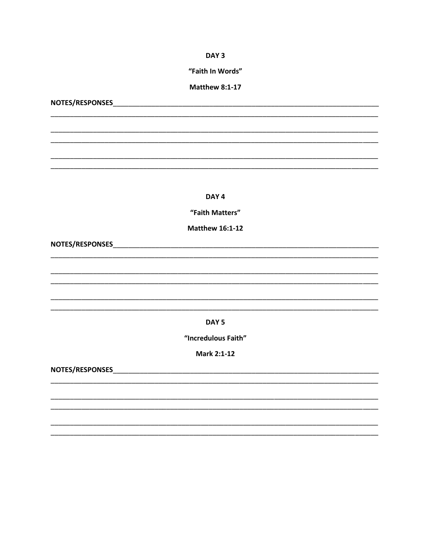DAY<sub>3</sub>

"Faith In Words"

## **Matthew 8:1-17**

NOTES/RESPONSES NOTES AND THE RESPONSES

DAY<sub>4</sub>

"Faith Matters"

**Matthew 16:1-12** 

DAY<sub>5</sub>

"Incredulous Faith"

**Mark 2:1-12**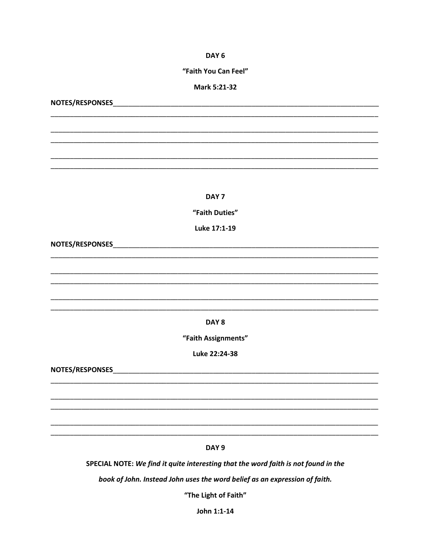DAY<sub>6</sub>

#### "Faith You Can Feel"

#### Mark 5:21-32

NOTES/RESPONSES NOTES AND THE RESPONSES

## DAY<sub>7</sub>

"Faith Duties"

Luke 17:1-19

DAY<sub>8</sub>

"Faith Assignments"

Luke 22:24-38

DAY<sub>9</sub>

SPECIAL NOTE: We find it quite interesting that the word faith is not found in the

book of John. Instead John uses the word belief as an expression of faith.

"The Light of Faith"

John 1:1-14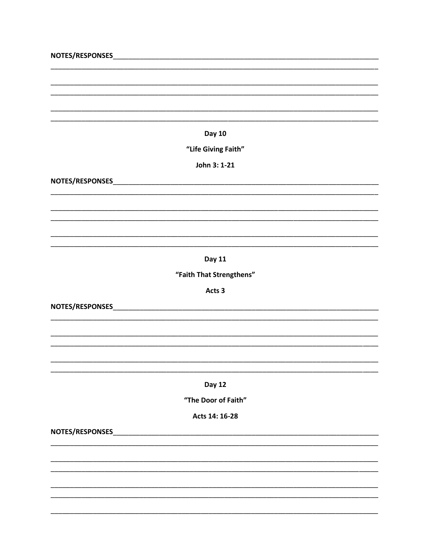# "Life Giving Faith"

John 3: 1-21

**Day 11** 

"Faith That Strengthens"

Acts 3

NOTES/RESPONSES NOTES AND THE RESPONSES

## Day 12

"The Door of Faith"

Acts 14: 16-28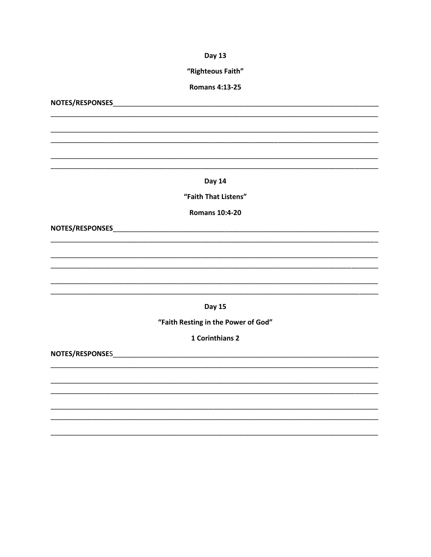"Righteous Faith"

**Romans 4:13-25** 

NOTES/RESPONSES NOTES AND THE RESPONSES

Day 14

"Faith That Listens"

**Romans 10:4-20** 

NOTES/RESPONSES NOTES AND THE RESPONSES

**Day 15** 

"Faith Resting in the Power of God"

1 Corinthians 2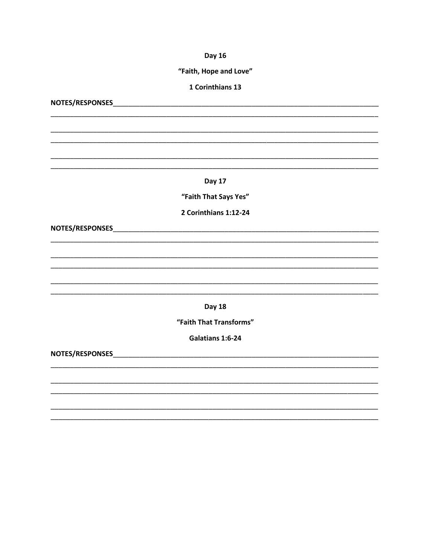## "Faith, Hope and Love"

#### 1 Corinthians 13

NOTES/RESPONSES NOTES AND THE RESPONSES **Day 17** "Faith That Says Yes" 2 Corinthians 1:12-24 NOTES/RESPONSES NOTES Day 18 "Faith That Transforms" Galatians 1:6-24